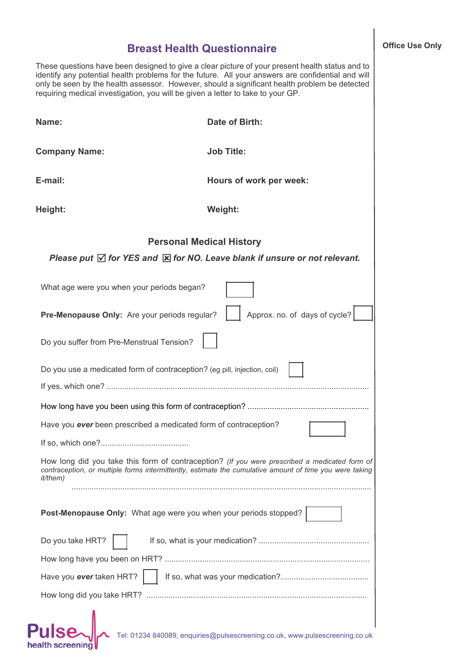## **Breast Health Questionnaire**

These questions have been designed to give a clear picture of your present health status and to identify any potential health problems for the future. All your answers are confidential and will only be seen by the health assessor. However, should a significant health problem be detected requiring medical investigation, you will be given a letter to take to your GP.

|                                                                  | Name:                                                                    | Date of Birth:                                                                                                  |  |  |                  |                                                                                                                                                                                                          |  |
|------------------------------------------------------------------|--------------------------------------------------------------------------|-----------------------------------------------------------------------------------------------------------------|--|--|------------------|----------------------------------------------------------------------------------------------------------------------------------------------------------------------------------------------------------|--|
|                                                                  | <b>Company Name:</b>                                                     | <b>Job Title:</b>                                                                                               |  |  |                  |                                                                                                                                                                                                          |  |
|                                                                  | E-mail:                                                                  | Hours of work per week:                                                                                         |  |  |                  |                                                                                                                                                                                                          |  |
|                                                                  | Height:                                                                  | Weight:                                                                                                         |  |  |                  |                                                                                                                                                                                                          |  |
|                                                                  | <b>Personal Medical History</b>                                          |                                                                                                                 |  |  |                  |                                                                                                                                                                                                          |  |
|                                                                  |                                                                          | Please put $\overline{\vee}$ for YES and $\overline{\mathbb{X}}$ for NO. Leave blank if unsure or not relevant. |  |  |                  |                                                                                                                                                                                                          |  |
|                                                                  | What age were you when your periods began?                               |                                                                                                                 |  |  |                  |                                                                                                                                                                                                          |  |
|                                                                  | Pre-Menopause Only: Are your periods regular?                            | Approx. no. of days of cycle?                                                                                   |  |  |                  |                                                                                                                                                                                                          |  |
|                                                                  | Do you suffer from Pre-Menstrual Tension?                                |                                                                                                                 |  |  |                  |                                                                                                                                                                                                          |  |
|                                                                  | Do you use a medicated form of contraception? (eg pill, injection, coil) |                                                                                                                 |  |  |                  |                                                                                                                                                                                                          |  |
|                                                                  |                                                                          |                                                                                                                 |  |  |                  |                                                                                                                                                                                                          |  |
|                                                                  |                                                                          |                                                                                                                 |  |  |                  |                                                                                                                                                                                                          |  |
| Have you ever been prescribed a medicated form of contraception? |                                                                          |                                                                                                                 |  |  |                  |                                                                                                                                                                                                          |  |
|                                                                  |                                                                          |                                                                                                                 |  |  | <i>it/them</i> ) | How long did you take this form of contraception? (If you were prescribed a medicated form of<br>contraception, or multiple forms intermittently, estimate the cumulative amount of time you were taking |  |
|                                                                  | Post-Menopause Only: What age were you when your periods stopped?        |                                                                                                                 |  |  |                  |                                                                                                                                                                                                          |  |
|                                                                  | Do you take HRT?                                                         |                                                                                                                 |  |  |                  |                                                                                                                                                                                                          |  |
|                                                                  |                                                                          |                                                                                                                 |  |  |                  |                                                                                                                                                                                                          |  |
|                                                                  | Have you ever taken HRT?                                                 |                                                                                                                 |  |  |                  |                                                                                                                                                                                                          |  |
|                                                                  |                                                                          |                                                                                                                 |  |  |                  |                                                                                                                                                                                                          |  |
|                                                                  |                                                                          | Tel: 01234 840089, enquiries@pulsescreening.co.uk, www.pulsescreening.co.uk                                     |  |  |                  |                                                                                                                                                                                                          |  |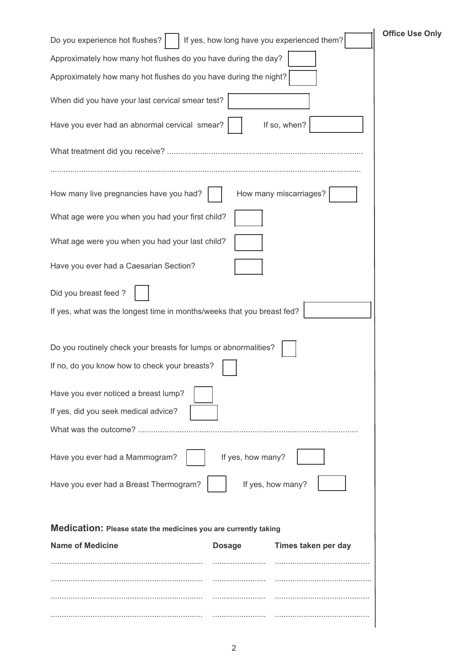| <b>Office Use Only</b><br>Do you experience hot flushes?<br>If yes, how long have you experienced them? |  |  |  |  |  |  |
|---------------------------------------------------------------------------------------------------------|--|--|--|--|--|--|
| Approximately how many hot flushes do you have during the day?                                          |  |  |  |  |  |  |
| Approximately how many hot flushes do you have during the night?                                        |  |  |  |  |  |  |
| When did you have your last cervical smear test?                                                        |  |  |  |  |  |  |
| Have you ever had an abnormal cervical smear?<br>If so, when?                                           |  |  |  |  |  |  |
|                                                                                                         |  |  |  |  |  |  |
| How many miscarriages?<br>How many live pregnancies have you had?                                       |  |  |  |  |  |  |
| What age were you when you had your first child?                                                        |  |  |  |  |  |  |
| What age were you when you had your last child?                                                         |  |  |  |  |  |  |
| Have you ever had a Caesarian Section?                                                                  |  |  |  |  |  |  |
| Did you breast feed?                                                                                    |  |  |  |  |  |  |
| If yes, what was the longest time in months/weeks that you breast fed?                                  |  |  |  |  |  |  |
| Do you routinely check your breasts for lumps or abnormalities?                                         |  |  |  |  |  |  |
| If no, do you know how to check your breasts?                                                           |  |  |  |  |  |  |
| Have you ever noticed a breast lump?                                                                    |  |  |  |  |  |  |
| If yes, did you seek medical advice?                                                                    |  |  |  |  |  |  |
| What was the outcome?                                                                                   |  |  |  |  |  |  |
| If yes, how many?<br>Have you ever had a Mammogram?                                                     |  |  |  |  |  |  |
| If yes, how many?<br>Have you ever had a Breast Thermogram?                                             |  |  |  |  |  |  |
| Medication: Please state the medicines you are currently taking                                         |  |  |  |  |  |  |
| <b>Name of Medicine</b><br>Times taken per day<br><b>Dosage</b>                                         |  |  |  |  |  |  |
|                                                                                                         |  |  |  |  |  |  |
|                                                                                                         |  |  |  |  |  |  |
|                                                                                                         |  |  |  |  |  |  |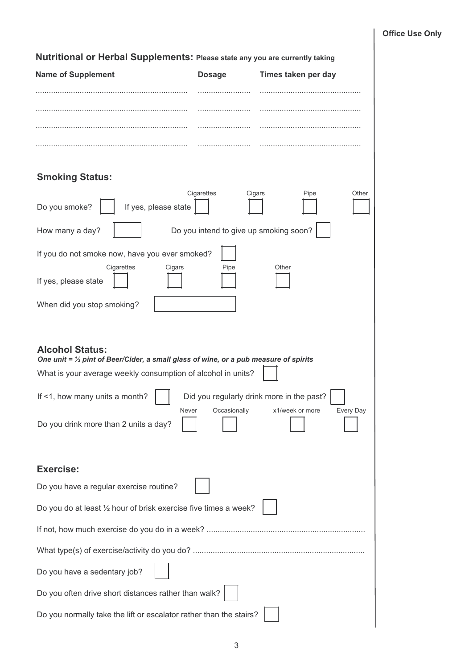| Nutritional or Herbal Supplements: Please state any you are currently taking                                              |                                        |                                                                           |  |  |  |  |
|---------------------------------------------------------------------------------------------------------------------------|----------------------------------------|---------------------------------------------------------------------------|--|--|--|--|
| <b>Name of Supplement</b>                                                                                                 | <b>Dosage</b>                          | Times taken per day                                                       |  |  |  |  |
|                                                                                                                           | .                                      |                                                                           |  |  |  |  |
|                                                                                                                           |                                        |                                                                           |  |  |  |  |
|                                                                                                                           |                                        |                                                                           |  |  |  |  |
|                                                                                                                           |                                        |                                                                           |  |  |  |  |
| <b>Smoking Status:</b>                                                                                                    |                                        |                                                                           |  |  |  |  |
| Do you smoke?<br>If yes, please state                                                                                     | Cigarettes<br>Cigars                   | Pipe<br>Other                                                             |  |  |  |  |
| How many a day?                                                                                                           | Do you intend to give up smoking soon? |                                                                           |  |  |  |  |
| If you do not smoke now, have you ever smoked?                                                                            |                                        |                                                                           |  |  |  |  |
| Cigarettes<br>Cigars<br>If yes, please state                                                                              | Pipe                                   | Other                                                                     |  |  |  |  |
| When did you stop smoking?                                                                                                |                                        |                                                                           |  |  |  |  |
|                                                                                                                           |                                        |                                                                           |  |  |  |  |
| <b>Alcohol Status:</b><br>One unit = $\frac{1}{2}$ pint of Beer/Cider, a small glass of wine, or a pub measure of spirits |                                        |                                                                           |  |  |  |  |
| What is your average weekly consumption of alcohol in units?                                                              |                                        |                                                                           |  |  |  |  |
| If <1, how many units a month?<br>Never                                                                                   | Occasionally                           | Did you regularly drink more in the past?<br>Every Day<br>x1/week or more |  |  |  |  |
| Do you drink more than 2 units a day?                                                                                     |                                        |                                                                           |  |  |  |  |
|                                                                                                                           |                                        |                                                                           |  |  |  |  |
| <b>Exercise:</b>                                                                                                          |                                        |                                                                           |  |  |  |  |
| Do you have a regular exercise routine?                                                                                   |                                        |                                                                           |  |  |  |  |
| Do you do at least 1/2 hour of brisk exercise five times a week?                                                          |                                        |                                                                           |  |  |  |  |
|                                                                                                                           |                                        |                                                                           |  |  |  |  |
|                                                                                                                           |                                        |                                                                           |  |  |  |  |
| Do you have a sedentary job?                                                                                              |                                        |                                                                           |  |  |  |  |
| Do you often drive short distances rather than walk?                                                                      |                                        |                                                                           |  |  |  |  |
| Do you normally take the lift or escalator rather than the stairs?                                                        |                                        |                                                                           |  |  |  |  |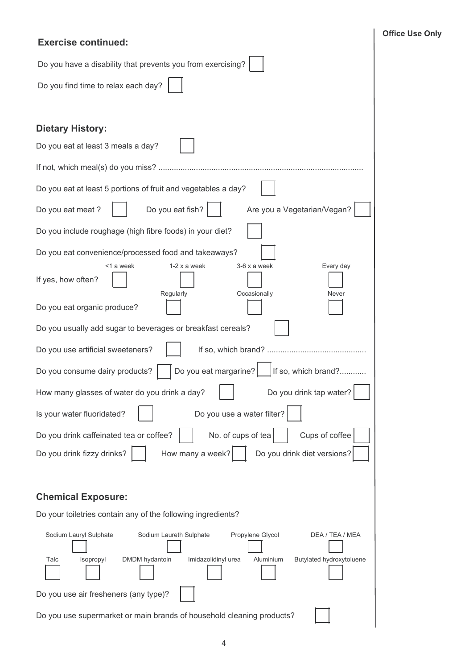## **Exercise continued:**

| Do you have a disability that prevents you from exercising?                                                                                                                                     |  |  |  |  |
|-------------------------------------------------------------------------------------------------------------------------------------------------------------------------------------------------|--|--|--|--|
| Do you find time to relax each day?                                                                                                                                                             |  |  |  |  |
|                                                                                                                                                                                                 |  |  |  |  |
| <b>Dietary History:</b>                                                                                                                                                                         |  |  |  |  |
| Do you eat at least 3 meals a day?                                                                                                                                                              |  |  |  |  |
|                                                                                                                                                                                                 |  |  |  |  |
| Do you eat at least 5 portions of fruit and vegetables a day?                                                                                                                                   |  |  |  |  |
| Do you eat fish?<br>Do you eat meat ?<br>Are you a Vegetarian/Vegan?                                                                                                                            |  |  |  |  |
| Do you include roughage (high fibre foods) in your diet?                                                                                                                                        |  |  |  |  |
| Do you eat convenience/processed food and takeaways?                                                                                                                                            |  |  |  |  |
| $3-6x$ a week<br><1 a week<br>$1-2x$ a week<br>Every day<br>If yes, how often?<br>Occasionally<br>Regularly<br>Never                                                                            |  |  |  |  |
| Do you eat organic produce?                                                                                                                                                                     |  |  |  |  |
| Do you usually add sugar to beverages or breakfast cereals?                                                                                                                                     |  |  |  |  |
| Do you use artificial sweeteners?                                                                                                                                                               |  |  |  |  |
| Do you eat margarine?<br>If so, which brand?<br>Do you consume dairy products?                                                                                                                  |  |  |  |  |
| How many glasses of water do you drink a day?<br>Do you drink tap water?                                                                                                                        |  |  |  |  |
| Is your water fluoridated?<br>Do you use a water filter?                                                                                                                                        |  |  |  |  |
| Cups of coffee<br>No. of cups of tea<br>Do you drink caffeinated tea or coffee?                                                                                                                 |  |  |  |  |
| Do you drink fizzy drinks?<br>How many a week?<br>Do you drink diet versions?                                                                                                                   |  |  |  |  |
|                                                                                                                                                                                                 |  |  |  |  |
| <b>Chemical Exposure:</b>                                                                                                                                                                       |  |  |  |  |
| Do your toiletries contain any of the following ingredients?                                                                                                                                    |  |  |  |  |
| Sodium Laureth Sulphate<br>Propylene Glycol<br>Sodium Lauryl Sulphate<br>DEA / TEA / MEA<br>Butylated hydroxytoluene<br>Talc<br>Isopropyl<br>DMDM hydantoin<br>Imidazolidinyl urea<br>Aluminium |  |  |  |  |
| Do you use air fresheners (any type)?                                                                                                                                                           |  |  |  |  |
| Do you use supermarket or main brands of household cleaning products?                                                                                                                           |  |  |  |  |